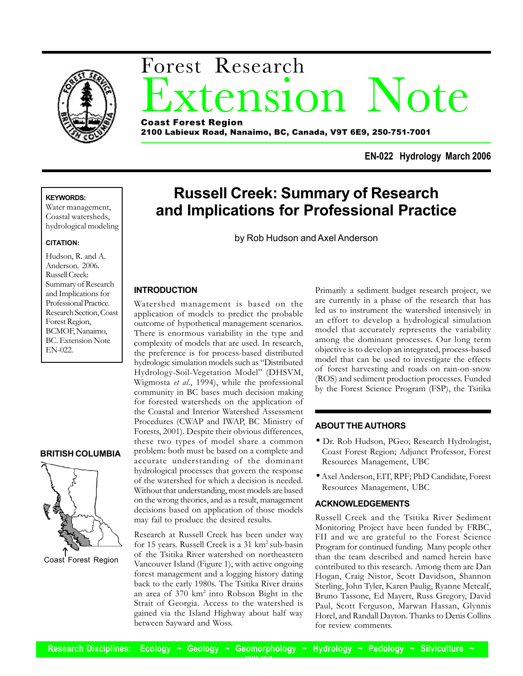

# tension Note Forest Research Coast Forest Region

2100 Labieux Road, Nanaimo, BC, Canada, V9T 6E9, 250-751-7001

**EN-022 Hydrology March 2006**

# **KEYWORDS:**

Water management, Coastal watersheds, hydrological modeling

#### **CITATION:**

Hudson, R. and A. Anderson. 2006. Russell Creek: Summary of Research and Implications for Professional Practice. Research Section, Coast Forest Region, BCMOF, Nanaimo, BC. Extension Note EN-022.

## **BRITISH COLUMBIA**



Coast Forest Region

# **Russell Creek: Summary of Research and Implications for Professional Practice**

by Rob Hudson and Axel Anderson

## **INTRODUCTION**

Watershed management is based on the application of models to predict the probable outcome of hypothetical management scenarios. There is enormous variability in the type and complexity of models that are used. In research, the preference is for process-based distributed hydrologic simulation models such as "Distributed Hydrology-Soil-Vegetation Model" (DHSVM, Wigmosta *et al*., 1994), while the professional community in BC bases much decision making for forested watersheds on the application of the Coastal and Interior Watershed Assessment Procedures (CWAP and IWAP, BC Ministry of Forests, 2001). Despite their obvious differences, these two types of model share a common problem: both must be based on a complete and accurate understanding of the dominant hydrological processes that govern the response of the watershed for which a decision is needed. Without that understanding, most models are based on the wrong theories, and as a result, management decisions based on application of those models may fail to produce the desired results.

Research at Russell Creek has been under way for 15 years. Russell Creek is a 31 km<sup>2</sup> sub-basin of the Tsitika River watershed on northeastern Vancouver Island (Figure 1), with active ongoing forest management and a logging history dating back to the early 1980s. The Tsitika River drains an area of 370 km2 into Robson Bight in the Strait of Georgia. Access to the watershed is gained via the Island Highway about half way between Sayward and Woss.

Primarily a sediment budget research project, we are currently in a phase of the research that has led us to instrument the watershed intensively in an effort to develop a hydrological simulation model that accurately represents the variability among the dominant processes. Our long term objective is to develop an integrated, process-based model that can be used to investigate the effects of forest harvesting and roads on rain-on-snow (ROS) and sediment production processes. Funded by the Forest Science Program (FSP), the Tsitika

## **ABOUT THE AUTHORS**

- Dr. Rob Hudson, PGeo; Research Hydrologist, Coast Forest Region; Adjunct Professor, Forest Resources Management, UBC
- Axel Anderson, EIT, RPF; PhD Candidate, Forest Resources Management, UBC

## **ACKNOWLEDGEMENTS**

Russell Creek and the Tsitika River Sediment Monitoring Project have been funded by FRBC, FII and we are grateful to the Forest Science Program for continued funding. Many people other than the team described and named herein have contributed to this research. Among them are Dan Hogan, Craig Nistor, Scott Davidson, Shannon Sterling, John Tyler, Karen Paulig, Ryanne Metcalf, Bruno Tassone, Ed Mayert, Russ Gregory, David Paul, Scott Ferguson, Marwan Hassan, Glynnis Horel, and Randall Dayton. Thanks to Denis Collins for review comments.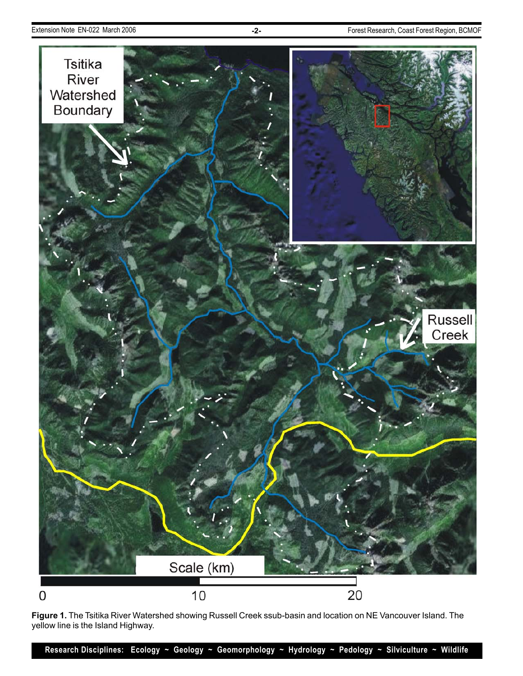

**Figure 1.** The Tsitika River Watershed showing Russell Creek ssub-basin and location on NE Vancouver Island. The yellow line is the Island Highway.

**Research Disciplines: Ecology ~ Geology ~ Geomorphology ~ Hydrology ~ Pedology ~ Silviculture ~ Wildlife**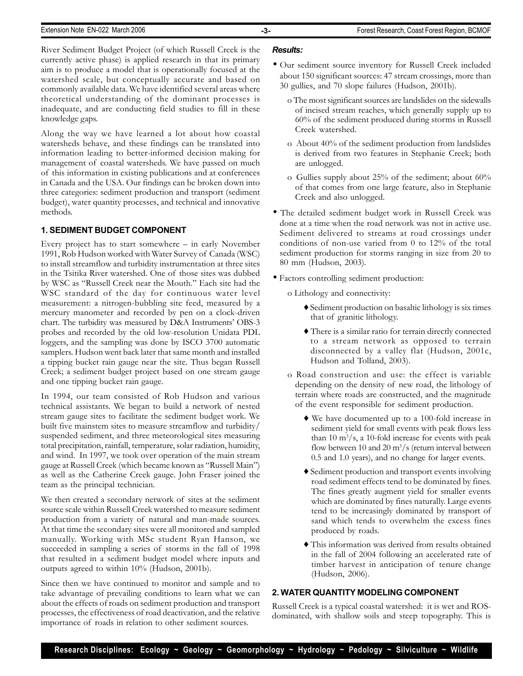River Sediment Budget Project (of which Russell Creek is the currently active phase) is applied research in that its primary aim is to produce a model that is operationally focused at the watershed scale, but conceptually accurate and based on commonly available data. We have identified several areas where theoretical understanding of the dominant processes is inadequate, and are conducting field studies to fill in these knowledge gaps.

Along the way we have learned a lot about how coastal watersheds behave, and these findings can be translated into information leading to better-informed decision making for management of coastal watersheds. We have passed on much of this information in existing publications and at conferences in Canada and the USA. Our findings can be broken down into three categories: sediment production and transport (sediment budget), water quantity processes, and technical and innovative methods.

# **1. SEDIMENT BUDGET COMPONENT**

Every project has to start somewhere – in early November 1991, Rob Hudson worked with Water Survey of Canada (WSC) to install streamflow and turbidity instrumentation at three sites in the Tsitika River watershed. One of those sites was dubbed by WSC as "Russell Creek near the Mouth." Each site had the WSC standard of the day for continuous water level measurement: a nitrogen-bubbling site feed, measured by a mercury manometer and recorded by pen on a clock-driven chart. The turbidity was measured by D&A Instruments' OBS-3 probes and recorded by the old low-resolution Unidata PDL loggers, and the sampling was done by ISCO 3700 automatic samplers. Hudson went back later that same month and installed a tipping bucket rain gauge near the site. Thus began Russell Creek; a sediment budget project based on one stream gauge and one tipping bucket rain gauge.

In 1994, our team consisted of Rob Hudson and various technical assistants. We began to build a network of nested stream gauge sites to facilitate the sediment budget work. We built five mainstem sites to measure streamflow and turbidity/ suspended sediment, and three meteorological sites measuring total precipitation, rainfall, temperature, solar radiation, humidity, and wind. In 1997, we took over operation of the main stream gauge at Russell Creek (which became known as "Russell Main") as well as the Catherine Creek gauge. John Fraser joined the team as the principal technician.

We then created a secondary network of sites at the sediment source scale within Russell Creek watershed to measure sediment production from a variety of natural and man-made sources. At that time the secondary sites were all monitored and sampled manually. Working with MSc student Ryan Hanson, we succeeded in sampling a series of storms in the fall of 1998 that resulted in a sediment budget model where inputs and outputs agreed to within 10% (Hudson, 2001b).

Since then we have continued to monitor and sample and to take advantage of prevailing conditions to learn what we can about the effects of roads on sediment production and transport processes, the effectiveness of road deactivation, and the relative importance of roads in relation to other sediment sources.

# *Results:*

- Our sediment source inventory for Russell Creek included about 150 significant sources: 47 stream crossings, more than 30 gullies, and 70 slope failures (Hudson, 2001b).
	- o The most significant sources are landslides on the sidewalls of incised stream reaches, which generally supply up to 60% of the sediment produced during storms in Russell Creek watershed.
	- o About 40% of the sediment production from landslides is derived from two features in Stephanie Creek; both are unlogged.
	- o Gullies supply about 25% of the sediment; about 60% of that comes from one large feature, also in Stephanie Creek and also unlogged.
- The detailed sediment budget work in Russell Creek was done at a time when the road network was not in active use. Sediment delivered to streams at road crossings under conditions of non-use varied from 0 to 12% of the total sediment production for storms ranging in size from 20 to 80 mm (Hudson, 2003).
- Factors controlling sediment production:
	- o Lithology and connectivity:
		- ♦ Sediment production on basaltic lithology is six times that of granitic lithology.
		- ♦ There is a similar ratio for terrain directly connected to a stream network as opposed to terrain disconnected by a valley flat (Hudson, 2001c, Hudson and Tolland, 2003).
	- o Road construction and use: the effect is variable depending on the density of new road, the lithology of terrain where roads are constructed, and the magnitude of the event responsible for sediment production.
		- ♦ We have documented up to a 100-fold increase in sediment yield for small events with peak flows less than  $10 \text{ m}^3/\text{s}$ , a 10-fold increase for events with peak flow between 10 and 20  $\text{m}^3/\text{s}$  (return interval between 0.5 and 1.0 years), and no change for larger events.
		- ♦ Sediment production and transport events involving road sediment effects tend to be dominated by fines. The fines greatly augment yield for smaller events which are dominated by fines naturally. Large events tend to be increasingly dominated by transport of sand which tends to overwhelm the excess fines produced by roads.
		- ♦ This information was derived from results obtained in the fall of 2004 following an accelerated rate of timber harvest in anticipation of tenure change (Hudson, 2006).

## **2. WATER QUANTITY MODELING COMPONENT**

Russell Creek is a typical coastal watershed: it is wet and ROSdominated, with shallow soils and steep topography. This is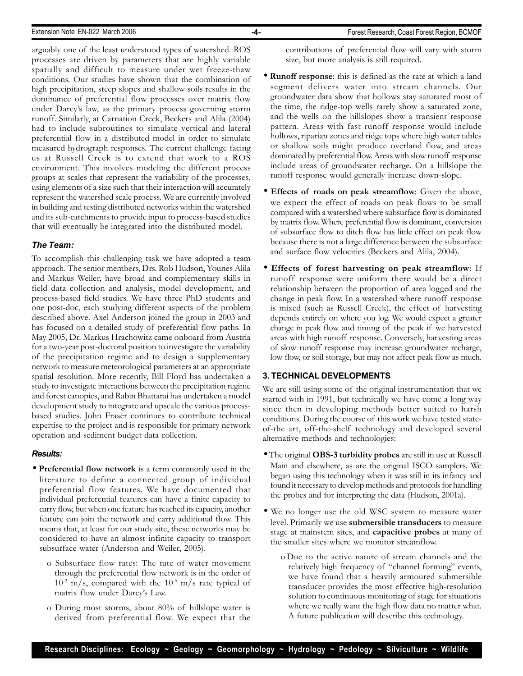arguably one of the least understood types of watershed. ROS processes are driven by parameters that are highly variable spatially and difficult to measure under wet freeze-thaw conditions. Our studies have shown that the combination of high precipitation, steep slopes and shallow soils results in the dominance of preferential flow processes over matrix flow under Darcy's law, as the primary process governing storm runoff. Similarly, at Carnation Creek, Beckers and Alila (2004) had to include subroutines to simulate vertical and lateral preferential flow in a distributed model in order to simulate measured hydrograph responses. The current challenge facing us at Russell Creek is to extend that work to a ROS environment. This involves modeling the different process groups at scales that represent the variability of the processes, using elements of a size such that their interaction will accurately represent the watershed scale process. We are currently involved in building and testing distributed networks within the watershed and its sub-catchments to provide input to process-based studies that will eventually be integrated into the distributed model.

## *The Team:*

To accomplish this challenging task we have adopted a team approach. The senior members, Drs. Rob Hudson, Younes Alila and Markus Weiler, have broad and complementary skills in field data collection and analysis, model development, and process-based field studies. We have three PhD students and one post-doc, each studying different aspects of the problem described above. Axel Anderson joined the group in 2003 and has focused on a detailed study of preferential flow paths. In May 2005, Dr. Markus Hrachowitz came onboard from Austria for a two-year post-doctoral position to investigate the variability of the precipitation regime and to design a supplementary network to measure meteorological parameters at an appropriate spatial resolution. More recently, Bill Floyd has undertaken a study to investigate interactions between the precipitation regime and forest canopies, and Rabin Bhattarai has undertaken a model development study to integrate and upscale the various processbased studies. John Fraser continues to contribute technical expertise to the project and is responsible for primary network operation and sediment budget data collection.

#### *Results:*

- **Preferential flow network** is a term commonly used in the literature to define a connected group of individual preferential flow features. We have documented that individual preferential features can have a finite capacity to carry flow, but when one feature has reached its capacity, another feature can join the network and carry additional flow. This means that, at least for our study site, these networks may be considered to have an almost infinite capacity to transport subsurface water (Anderson and Weiler, 2005).
	- o Subsurface flow rates: The rate of water movement through the preferential flow network is in the order of  $10^{-3}$  m/s, compared with the  $10^{-6}$  m/s rate typical of matrix flow under Darcy's Law.
	- o During most storms, about 80% of hillslope water is derived from preferential flow. We expect that the

contributions of preferential flow will vary with storm size, but more analysis is still required.

- **Runoff response**: this is defined as the rate at which a land segment delivers water into stream channels. Our groundwater data show that hollows stay saturated most of the time, the ridge-top wells rarely show a saturated zone, and the wells on the hillslopes show a transient response pattern. Areas with fast runoff response would include hollows, riparian zones and ridge tops where high water tables or shallow soils might produce overland flow, and areas dominated by preferential flow. Areas with slow runoff response include areas of groundwater recharge. On a hillslope the runoff response would generally increase down-slope.
- **Effects of roads on peak streamflow**: Given the above, we expect the effect of roads on peak flows to be small compared with a watershed where subsurface flow is dominated by matrix flow. Where preferential flow is dominant, conversion of subsurface flow to ditch flow has little effect on peak flow because there is not a large difference between the subsurface and surface flow velocities (Beckers and Alila, 2004).
- **Effects of forest harvesting on peak streamflow**: If runoff response were uniform there would be a direct relationship between the proportion of area logged and the change in peak flow. In a watershed where runoff response is mixed (such as Russell Creek), the effect of harvesting depends entirely on where you log. We would expect a greater change in peak flow and timing of the peak if we harvested areas with high runoff response. Conversely, harvesting areas of slow runoff response may increase groundwater recharge, low flow, or soil storage, but may not affect peak flow as much.

#### **3. TECHNICAL DEVELOPMENTS**

We are still using some of the original instrumentation that we started with in 1991, but technically we have come a long way since then in developing methods better suited to harsh conditions. During the course of this work we have tested stateof-the art, off-the-shelf technology and developed several alternative methods and technologies:

- The original **OBS-3 turbidity probes** are still in use at Russell Main and elsewhere, as are the original ISCO samplers. We began using this technology when it was still in its infancy and found it necessary to develop methods and protocols for handling the probes and for interpreting the data (Hudson, 2001a).
- We no longer use the old WSC system to measure water level. Primarily we use **submersible transducers** to measure stage at mainstem sites, and **capacitive probes** at many of the smaller sites where we monitor streamflow.
	- o Due to the active nature of stream channels and the relatively high frequency of "channel forming" events, we have found that a heavily armoured submersible transducer provides the most effective high-resolution solution to continuous monitoring of stage for situations where we really want the high flow data no matter what. A future publication will describe this technology.